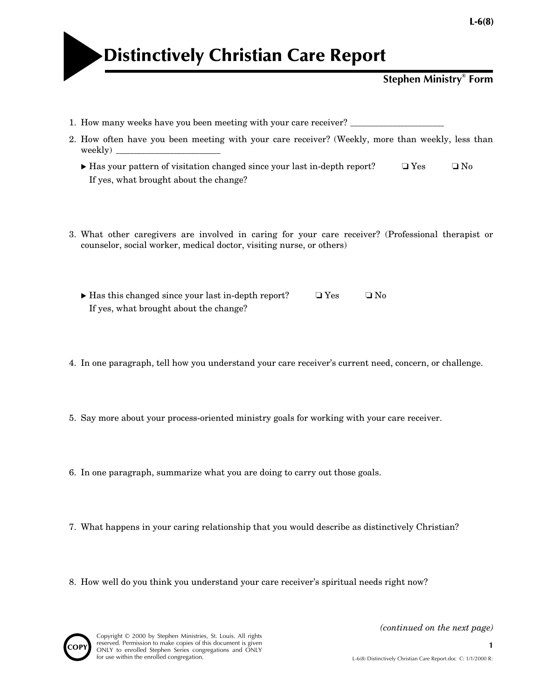

|  | <b>Stephen Ministry® Form</b> |  |
|--|-------------------------------|--|
|--|-------------------------------|--|

- 1. How many weeks have you been meeting with your care receiver?
- 2. How often have you been meeting with your care receiver? (Weekly, more than weekly, less than weekly)  $\equiv$ 
	- Has your pattern of visitation changed since your last in-depth report? ❏ Yes ❏ No If yes, what brought about the change?
- 3. What other caregivers are involved in caring for your care receiver? (Professional therapist or counselor, social worker, medical doctor, visiting nurse, or others)
	- ► Has this changed since your last in-depth report?  $\Box$  Yes  $\Box$  No If yes, what brought about the change?
- 4. In one paragraph, tell how you understand your care receiver's current need, concern, or challenge.
- 5. Say more about your process-oriented ministry goals for working with your care receiver.
- 6. In one paragraph, summarize what you are doing to carry out those goals.
- 7. What happens in your caring relationship that you would describe as distinctively Christian?
- 8. How well do you think you understand your care receiver's spiritual needs right now?